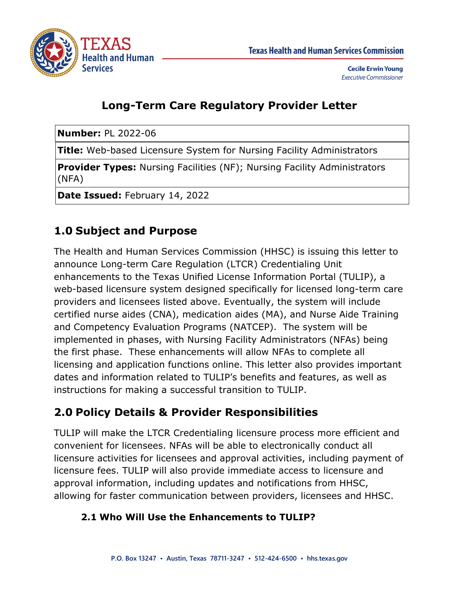

# **Long-Term Care Regulatory Provider Letter**

**Number:** PL 2022-06

**Title:** Web-based Licensure System for Nursing Facility Administrators

**Provider Types:** Nursing Facilities (NF); Nursing Facility Administrators (NFA)

**Date Issued:** February 14, 2022

# **1.0 Subject and Purpose**

The Health and Human Services Commission (HHSC) is issuing this letter to announce Long-term Care Regulation (LTCR) Credentialing Unit enhancements to the Texas Unified License Information Portal (TULIP), a web-based licensure system designed specifically for licensed long-term care providers and licensees listed above. Eventually, the system will include certified nurse aides (CNA), medication aides (MA), and Nurse Aide Training and Competency Evaluation Programs (NATCEP). The system will be implemented in phases, with Nursing Facility Administrators (NFAs) being the first phase. These enhancements will allow NFAs to complete all licensing and application functions online. This letter also provides important dates and information related to TULIP's benefits and features, as well as instructions for making a successful transition to TULIP.

### **2.0 Policy Details & Provider Responsibilities**

TULIP will make the LTCR Credentialing licensure process more efficient and convenient for licensees. NFAs will be able to electronically conduct all licensure activities for licensees and approval activities, including payment of licensure fees. TULIP will also provide immediate access to licensure and approval information, including updates and notifications from HHSC, allowing for faster communication between providers, licensees and HHSC.

#### **2.1 Who Will Use the Enhancements to TULIP?**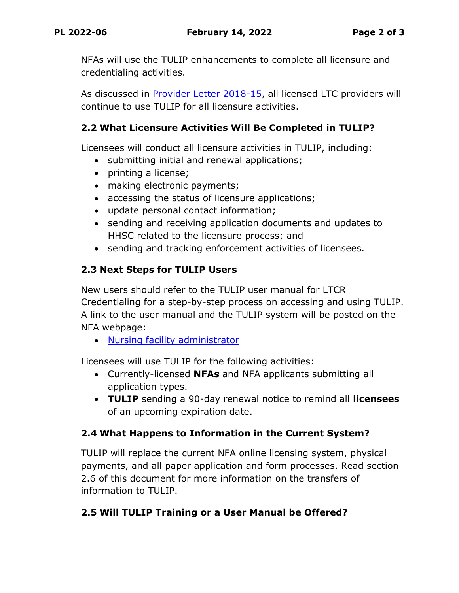NFAs will use the TULIP enhancements to complete all licensure and credentialing activities.

As discussed in [Provider Letter 2018-15,](https://www.hhs.texas.gov/sites/default/files/documents/providers/communications/2018/letters/PL2018-15.pdf) all licensed LTC providers will continue to use TULIP for all licensure activities.

#### **2.2 What Licensure Activities Will Be Completed in TULIP?**

Licensees will conduct all licensure activities in TULIP, including:

- submitting initial and renewal applications;
- printing a license;
- making electronic payments;
- accessing the status of licensure applications;
- update personal contact information;
- sending and receiving application documents and updates to HHSC related to the licensure process; and
- sending and tracking enforcement activities of licensees.

#### **2.3 Next Steps for TULIP Users**

New users should refer to the TULIP user manual for LTCR Credentialing for a step-by-step process on accessing and using TULIP. A link to the user manual and the TULIP system will be posted on the NFA webpage:

• [Nursing facility administrator](https://www.hhs.texas.gov/business/licensing-credentialing-regulation/long-term-care-credentialing/nf-administrators-licensing-enforcement)

Licensees will use TULIP for the following activities:

- Currently-licensed **NFAs** and NFA applicants submitting all application types.
- **TULIP** sending a 90-day renewal notice to remind all **licensees** of an upcoming expiration date.

#### **2.4 What Happens to Information in the Current System?**

TULIP will replace the current NFA online licensing system, physical payments, and all paper application and form processes. Read section 2.6 of this document for more information on the transfers of information to TULIP.

#### **2.5 Will TULIP Training or a User Manual be Offered?**